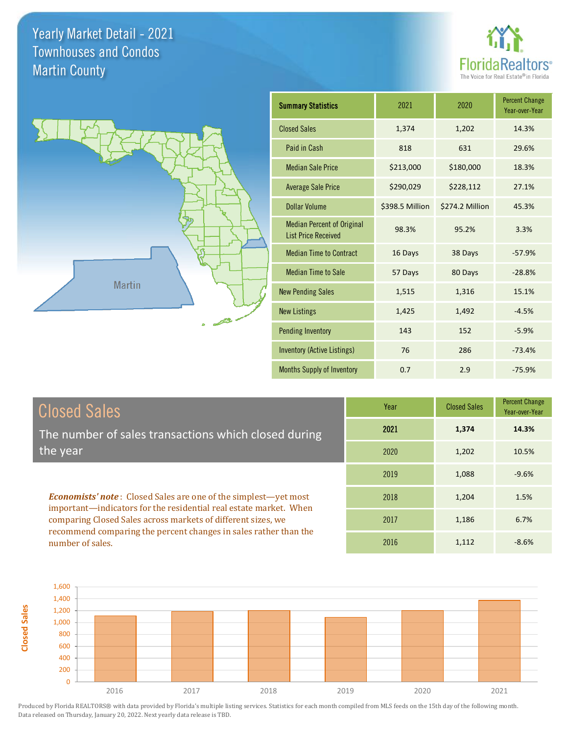**Closed Sales**





| <b>Summary Statistics</b>                                       | 2021            | 2020            | <b>Percent Change</b><br>Year-over-Year |
|-----------------------------------------------------------------|-----------------|-----------------|-----------------------------------------|
| <b>Closed Sales</b>                                             | 1,374           | 1,202           | 14.3%                                   |
| Paid in Cash                                                    | 818             | 631             | 29.6%                                   |
| <b>Median Sale Price</b>                                        | \$213,000       | \$180,000       | 18.3%                                   |
| <b>Average Sale Price</b>                                       | \$290,029       | \$228,112       | 27.1%                                   |
| Dollar Volume                                                   | \$398.5 Million | \$274.2 Million | 45.3%                                   |
| <b>Median Percent of Original</b><br><b>List Price Received</b> | 98.3%           | 95.2%           | 3.3%                                    |
| <b>Median Time to Contract</b>                                  | 16 Days         | 38 Days         | $-57.9%$                                |
| <b>Median Time to Sale</b>                                      | 57 Days         | 80 Days         | $-28.8%$                                |
| <b>New Pending Sales</b>                                        | 1,515           | 1,316           | 15.1%                                   |
| <b>New Listings</b>                                             | 1,425           | 1,492           | $-4.5%$                                 |
| <b>Pending Inventory</b>                                        | 143             | 152             | $-5.9%$                                 |
| <b>Inventory (Active Listings)</b>                              | 76              | 286             | $-73.4%$                                |
| Months Supply of Inventory                                      | 0.7             | 2.9             | $-75.9%$                                |

| <b>Closed Sales</b>                                                                                                               | Year | <b>Closed Sales</b> | <b>Percent Change</b><br>Year-over-Year |
|-----------------------------------------------------------------------------------------------------------------------------------|------|---------------------|-----------------------------------------|
| The number of sales transactions which closed during                                                                              | 2021 | 1,374               | 14.3%                                   |
| 'the year                                                                                                                         | 2020 | 1,202               | 10.5%                                   |
|                                                                                                                                   | 2019 | 1,088               | $-9.6%$                                 |
| <b>Economists' note:</b> Closed Sales are one of the simplest-yet most                                                            | 2018 | 1,204               | 1.5%                                    |
| important—indicators for the residential real estate market. When<br>comparing Closed Sales across markets of different sizes, we | 2017 | 1,186               | 6.7%                                    |
| recommend comparing the percent changes in sales rather than the<br>number of sales.                                              | 2016 | 1,112               | $-8.6%$                                 |

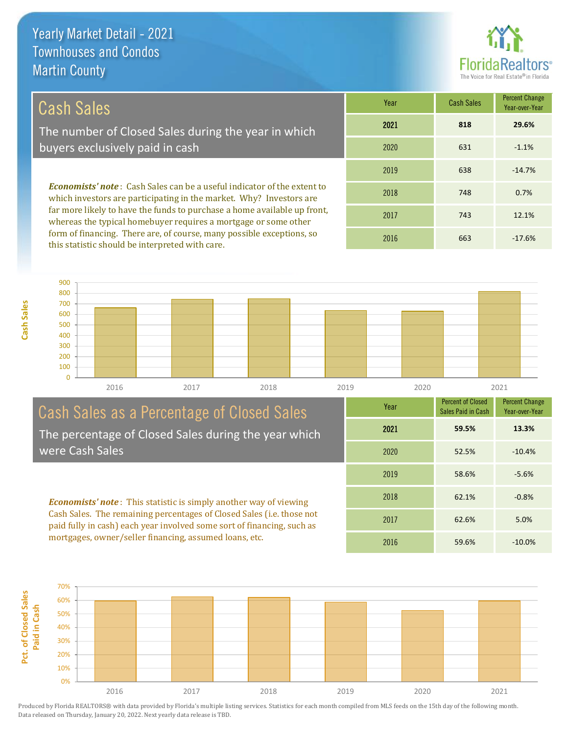

## Cash Sales

The number of Closed Sales during the year in which buyers exclusively paid in cash

*Economists' note* : Cash Sales can be a useful indicator of the extent to which investors are participating in the market. Why? Investors are far more likely to have the funds to purchase a home available up front, whereas the typical homebuyer requires a mortgage or some other form of financing. There are, of course, many possible exceptions, so this statistic should be interpreted with care.

| Year | <b>Cash Sales</b> | <b>Percent Change</b><br>Year-over-Year |
|------|-------------------|-----------------------------------------|
| 2021 | 818               | 29.6%                                   |
| 2020 | 631               | $-1.1%$                                 |
| 2019 | 638               | $-14.7%$                                |
| 2018 | 748               | 0.7%                                    |
| 2017 | 743               | 12.1%                                   |
| 2016 | 663               | $-17.6%$                                |



#### Cash Sales as a Percentage of Closed Sales The percentage of Closed Sales during the year which were Cash Sales

*Economists' note* : This statistic is simply another way of viewing Cash Sales. The remaining percentages of Closed Sales (i.e. those not paid fully in cash) each year involved some sort of financing, such as mortgages, owner/seller financing, assumed loans, etc.



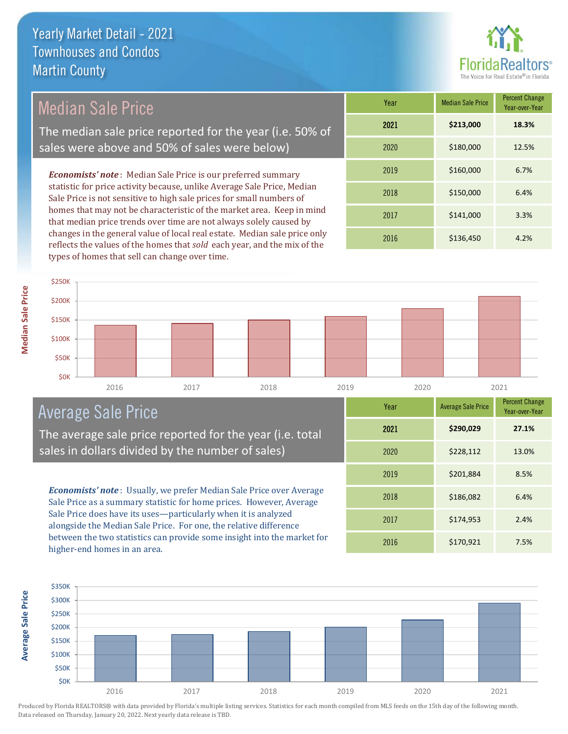

# Median Sale Price

The median sale price reported for the year (i.e. 50% of sales were above and 50% of sales were below)

*Economists' note* : Median Sale Price is our preferred summary statistic for price activity because, unlike Average Sale Price, Median Sale Price is not sensitive to high sale prices for small numbers of homes that may not be characteristic of the market area. Keep in mind that median price trends over time are not always solely caused by changes in the general value of local real estate. Median sale price only reflects the values of the homes that *sold* each year, and the mix of the types of homes that sell can change over time.

| Year | <b>Median Sale Price</b> | <b>Percent Change</b><br>Year-over-Year |
|------|--------------------------|-----------------------------------------|
| 2021 | \$213,000                | 18.3%                                   |
| 2020 | \$180,000                | 12.5%                                   |
| 2019 | \$160,000                | 6.7%                                    |
| 2018 | \$150,000                | 6.4%                                    |
| 2017 | \$141,000                | 3.3%                                    |
| 2016 | \$136,450                | 4.2%                                    |

#### 2016 2017 2018 2019 2020 2021 **\$0K** \$50K \$100K \$150K \$200K \$250K

# Average Sale Price

The average sale price reported for the year (i.e. total sales in dollars divided by the number of sales)

*Economists' note* : Usually, we prefer Median Sale Price over Average Sale Price as a summary statistic for home prices. However, Average Sale Price does have its uses—particularly when it is analyzed alongside the Median Sale Price. For one, the relative difference between the two statistics can provide some insight into the market for higher-end homes in an area.

| <b>Percent Change</b><br>Year<br><b>Average Sale Price</b><br>Year-over-Year<br>\$290,029<br>2021<br>27.1%<br>\$228,112<br>2020<br>13.0%<br>\$201,884<br>2019<br>8.5%<br>\$186,082<br>2018<br>6.4%<br>\$174,953<br>2017<br>2.4%<br>\$170,921<br>2016<br>7.5% |  |  |
|--------------------------------------------------------------------------------------------------------------------------------------------------------------------------------------------------------------------------------------------------------------|--|--|
|                                                                                                                                                                                                                                                              |  |  |
|                                                                                                                                                                                                                                                              |  |  |
|                                                                                                                                                                                                                                                              |  |  |
|                                                                                                                                                                                                                                                              |  |  |
|                                                                                                                                                                                                                                                              |  |  |
|                                                                                                                                                                                                                                                              |  |  |
|                                                                                                                                                                                                                                                              |  |  |

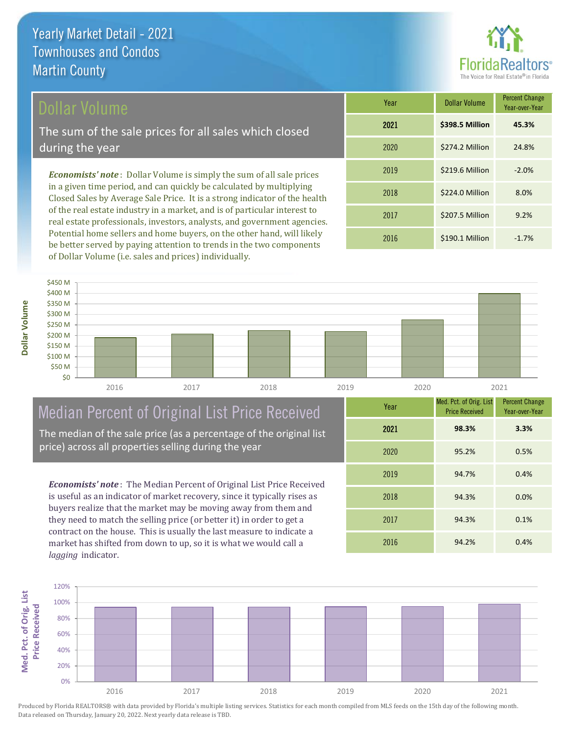### Dollar Volume

The sum of the sale prices for all sales which closed during the year

*Economists' note* : Dollar Volume is simply the sum of all sale prices in a given time period, and can quickly be calculated by multiplying Closed Sales by Average Sale Price. It is a strong indicator of the health of the real estate industry in a market, and is of particular interest to real estate professionals, investors, analysts, and government agencies. Potential home sellers and home buyers, on the other hand, will likely be better served by paying attention to trends in the two components of Dollar Volume (i.e. sales and prices) individually.

| Year | Dollar Volume   | <b>Percent Change</b><br>Year-over-Year |
|------|-----------------|-----------------------------------------|
| 2021 | \$398.5 Million | 45.3%                                   |
| 2020 | \$274.2 Million | 24.8%                                   |
| 2019 | \$219.6 Million | $-2.0%$                                 |
| 2018 | \$224.0 Million | 8.0%                                    |
| 2017 | \$207.5 Million | 9.2%                                    |
| 2016 | \$190.1 Million | $-1.7%$                                 |



# Median Percent of Original List Price Received

The median of the sale price (as a percentage of the original list price) across all properties selling during the year

*Economists' note* : The Median Percent of Original List Price Received is useful as an indicator of market recovery, since it typically rises as buyers realize that the market may be moving away from them and they need to match the selling price (or better it) in order to get a contract on the house. This is usually the last measure to indicate a market has shifted from down to up, so it is what we would call a *lagging* indicator.

| Year | Med. Pct. of Orig. List<br><b>Price Received</b> | <b>Percent Change</b><br>Year-over-Year |
|------|--------------------------------------------------|-----------------------------------------|
| 2021 | 98.3%                                            | 3.3%                                    |
| 2020 | 95.2%                                            | 0.5%                                    |
| 2019 | 94.7%                                            | 0.4%                                    |
| 2018 | 94.3%                                            | 0.0%                                    |
| 2017 | 94.3%                                            | 0.1%                                    |
| 2016 | 94.2%                                            | 0.4%                                    |

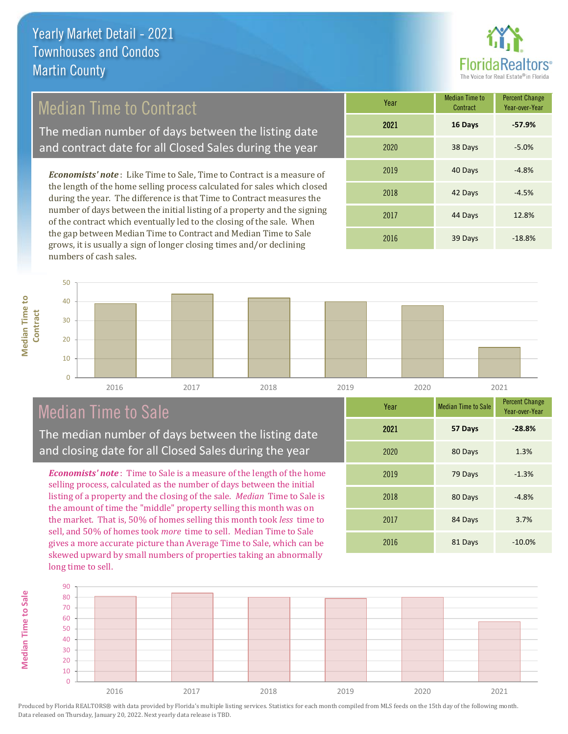

### Median Time to Contract

The median number of days between the listing date and contract date for all Closed Sales during the year

*Economists' note* : Like Time to Sale, Time to Contract is a measure of the length of the home selling process calculated for sales which closed during the year. The difference is that Time to Contract measures the number of days between the initial listing of a property and the signing of the contract which eventually led to the closing of the sale. When the gap between Median Time to Contract and Median Time to Sale grows, it is usually a sign of longer closing times and/or declining numbers of cash sales.

| Year | <b>Median Time to</b><br>Contract | <b>Percent Change</b><br>Year-over-Year |
|------|-----------------------------------|-----------------------------------------|
| 2021 | 16 Days                           | $-57.9%$                                |
| 2020 | 38 Days                           | $-5.0%$                                 |
| 2019 | 40 Days                           | $-4.8%$                                 |
| 2018 | 42 Days                           | $-4.5%$                                 |
| 2017 | 44 Days                           | 12.8%                                   |
| 2016 | 39 Days                           | $-18.8%$                                |



# Median Time to Sale

The median number of days between the listing date and closing date for all Closed Sales during the year

*Economists' note* : Time to Sale is a measure of the length of the home selling process, calculated as the number of days between the initial listing of a property and the closing of the sale. *Median* Time to Sale is the amount of time the "middle" property selling this month was on the market. That is, 50% of homes selling this month took *less* time to sell, and 50% of homes took *more* time to sell. Median Time to Sale gives a more accurate picture than Average Time to Sale, which can be skewed upward by small numbers of properties taking an abnormally long time to sell.

| Year | <b>Median Time to Sale</b> | <b>Percent Change</b><br>Year-over-Year |
|------|----------------------------|-----------------------------------------|
| 2021 | 57 Days                    | $-28.8%$                                |
| 2020 | 80 Days                    | 1.3%                                    |
| 2019 | 79 Days                    | $-1.3%$                                 |
| 2018 | 80 Days                    | $-4.8%$                                 |
| 2017 | 84 Days                    | 3.7%                                    |
| 2016 | 81 Days                    | $-10.0%$                                |



Produced by Florida REALTORS® with data provided by Florida's multiple listing services. Statistics for each month compiled from MLS feeds on the 15th day of the following month. Data released on Thursday, January 20, 2022. Next yearly data release is TBD.

**Median Time to**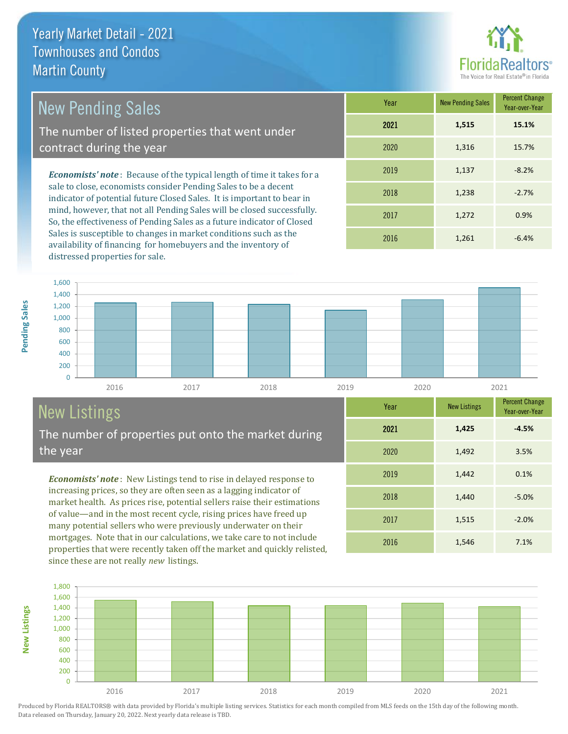

1,440 -5.0%

Year-over-Year

**-4.5%**

Year New Listings Percent Change

2016 1,546 7.1%

2017 1,515 -2.0%

2019 1,442 0.1%

2020 1,492 3.5%

2021 **1,425**

2018

# New Pending Sales

The number of listed properties that went under contract during the year

*Economists' note* : Because of the typical length of time it takes for a sale to close, economists consider Pending Sales to be a decent indicator of potential future Closed Sales. It is important to bear in mind, however, that not all Pending Sales will be closed successfully. So, the effectiveness of Pending Sales as a future indicator of Closed Sales is susceptible to changes in market conditions such as the availability of financing for homebuyers and the inventory of distressed properties for sale.

| Year | <b>New Pending Sales</b> | <b>Percent Change</b><br>Year-over-Year |
|------|--------------------------|-----------------------------------------|
| 2021 | 1,515                    | 15.1%                                   |
| 2020 | 1,316                    | 15.7%                                   |
| 2019 | 1,137                    | $-8.2%$                                 |
| 2018 | 1,238                    | $-2.7%$                                 |
| 2017 | 1,272                    | 0.9%                                    |
| 2016 | 1,261                    | $-6.4%$                                 |



# New Listings

The number of properties put onto the market during the year

*Economists' note* : New Listings tend to rise in delayed response to increasing prices, so they are often seen as a lagging indicator of market health. As prices rise, potential sellers raise their estimations of value—and in the most recent cycle, rising prices have freed up many potential sellers who were previously underwater on their mortgages. Note that in our calculations, we take care to not include properties that were recently taken off the market and quickly relisted, since these are not really *new* listings.



**New Listings**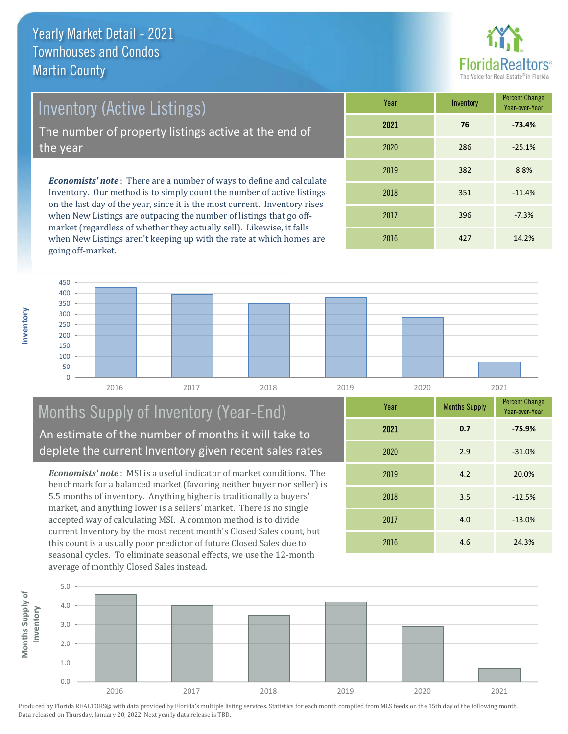

Inventory (Active Listings)

The number of property listings active at the end of the year

*Economists' note* : There are a number of ways to define and calculate Inventory. Our method is to simply count the number of active listings on the last day of the year, since it is the most current. Inventory rises when New Listings are outpacing the number of listings that go offmarket (regardless of whether they actually sell). Likewise, it falls when New Listings aren't keeping up with the rate at which homes are going off-market.

| Year | Inventory | <b>Percent Change</b><br>Year-over-Year |
|------|-----------|-----------------------------------------|
| 2021 | 76        | $-73.4%$                                |
| 2020 | 286       | $-25.1%$                                |
| 2019 | 382       | 8.8%                                    |
| 2018 | 351       | $-11.4%$                                |
| 2017 | 396       | $-7.3%$                                 |
| 2016 | 427       | 14.2%                                   |



#### Months Supply of Inventory (Year-End) An estimate of the number of months it will take to deplete the current Inventory given recent sales rates

*Economists' note* : MSI is a useful indicator of market conditions. The benchmark for a balanced market (favoring neither buyer nor seller) is 5.5 months of inventory. Anything higher is traditionally a buyers' market, and anything lower is a sellers' market. There is no single accepted way of calculating MSI. A common method is to divide current Inventory by the most recent month's Closed Sales count, but this count is a usually poor predictor of future Closed Sales due to seasonal cycles. To eliminate seasonal effects, we use the 12-month average of monthly Closed Sales instead.

| Year | <b>Months Supply</b> | <b>Percent Change</b><br>Year-over-Year |
|------|----------------------|-----------------------------------------|
| 2021 | 0.7                  | $-75.9%$                                |
| 2020 | 2.9                  | $-31.0%$                                |
| 2019 | 4.2                  | 20.0%                                   |
| 2018 | 3.5                  | $-12.5%$                                |
| 2017 | 4.0                  | $-13.0%$                                |
| 2016 | 4.6                  | 24.3%                                   |

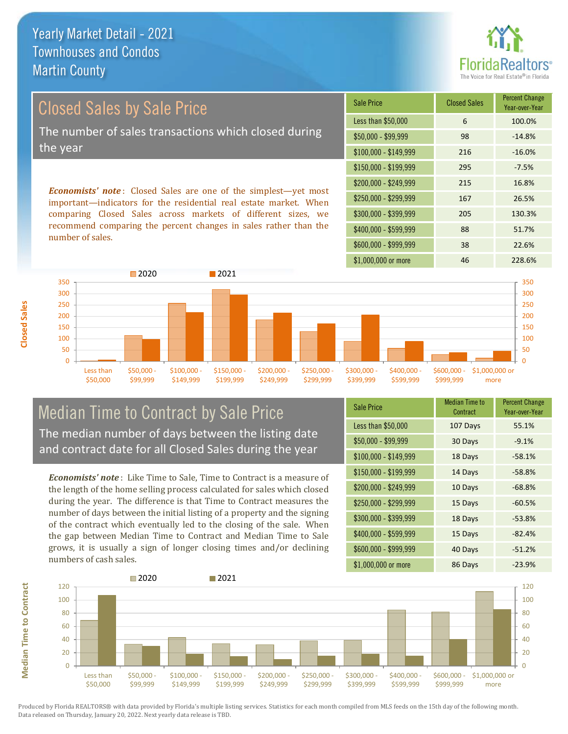

Closed Sales by Sale Price The number of sales transactions which closed during the year

*Economists' note* : Closed Sales are one of the simplest—yet most important—indicators for the residential real estate market. When comparing Closed Sales across markets of different sizes, we recommend comparing the percent changes in sales rather than the number of sales.

| <b>Sale Price</b>     | <b>Closed Sales</b> | <b>Percent Change</b><br>Year-over-Year |  |
|-----------------------|---------------------|-----------------------------------------|--|
| Less than \$50,000    | 6                   | 100.0%                                  |  |
| $$50,000 - $99,999$   | 98                  | $-14.8%$                                |  |
| $$100,000 - $149,999$ | 216                 | $-16.0%$                                |  |
| $$150,000 - $199,999$ | 295                 | $-7.5%$                                 |  |
| \$200,000 - \$249,999 | 215                 | 16.8%                                   |  |
| \$250,000 - \$299,999 | 167                 | 26.5%                                   |  |
| \$300,000 - \$399,999 | 205                 | 130.3%                                  |  |
| \$400,000 - \$599,999 | 88                  | 51.7%                                   |  |
| \$600,000 - \$999,999 | 38                  | 22.6%                                   |  |
| \$1,000,000 or more   | 46                  | 228.6%                                  |  |



#### Median Time to Contract by Sale Price The median number of days between the listing date and contract date for all Closed Sales during the year

*Economists' note* : Like Time to Sale, Time to Contract is a measure of the length of the home selling process calculated for sales which closed during the year. The difference is that Time to Contract measures the number of days between the initial listing of a property and the signing of the contract which eventually led to the closing of the sale. When the gap between Median Time to Contract and Median Time to Sale grows, it is usually a sign of longer closing times and/or declining numbers of cash sales.

| <b>Sale Price</b>     | <b>Median Time to</b><br>Contract | <b>Percent Change</b><br>Year-over-Year |  |
|-----------------------|-----------------------------------|-----------------------------------------|--|
| Less than \$50,000    | 107 Days                          | 55.1%                                   |  |
| $$50,000 - $99,999$   | 30 Days                           | $-9.1%$                                 |  |
| $$100,000 - $149,999$ | 18 Days                           | $-58.1%$                                |  |
| $$150,000 - $199,999$ | 14 Days                           | $-58.8%$                                |  |
| \$200,000 - \$249,999 | 10 Days                           | $-68.8%$                                |  |
| \$250,000 - \$299,999 | 15 Days                           | $-60.5%$                                |  |
| \$300,000 - \$399,999 | 18 Days                           | $-53.8%$                                |  |
| \$400,000 - \$599,999 | 15 Days                           | $-82.4%$                                |  |
| \$600,000 - \$999,999 | 40 Days                           | $-51.2%$                                |  |
| \$1,000,000 or more   | 86 Days                           | $-23.9%$                                |  |



**Median Time to Contract**

**Median Time to Contract**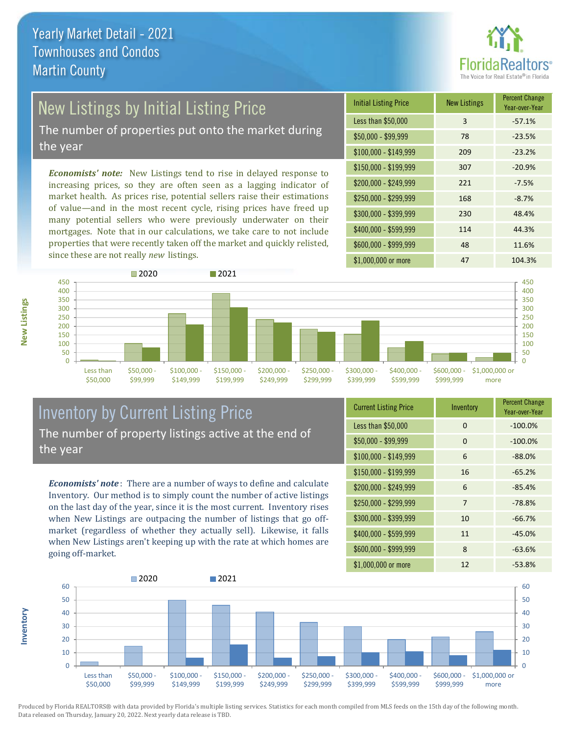

# New Listings by Initial Listing Price

The number of properties put onto the market during the year

*Economists' note:* New Listings tend to rise in delayed response to increasing prices, so they are often seen as a lagging indicator of market health. As prices rise, potential sellers raise their estimations of value—and in the most recent cycle, rising prices have freed up many potential sellers who were previously underwater on their mortgages. Note that in our calculations, we take care to not include properties that were recently taken off the market and quickly relisted, since these are not really *new* listings.

| <b>Initial Listing Price</b> | <b>New Listings</b> | <b>Percent Change</b><br>Year-over-Year |  |
|------------------------------|---------------------|-----------------------------------------|--|
| Less than \$50,000           | 3                   | $-57.1%$                                |  |
| \$50,000 - \$99,999          | 78                  | $-23.5%$                                |  |
| $$100,000 - $149,999$        | 209                 | $-23.2%$                                |  |
| $$150,000 - $199,999$        | 307                 | $-20.9%$                                |  |
| \$200,000 - \$249,999        | 221                 | $-7.5%$                                 |  |
| \$250,000 - \$299,999        | 168                 | $-8.7%$                                 |  |
| \$300,000 - \$399,999        | 230                 | 48.4%                                   |  |
| \$400,000 - \$599,999        | 114                 | 44.3%                                   |  |
| \$600,000 - \$999,999        | 48                  | 11.6%                                   |  |
| \$1,000,000 or more          | 47                  | 104.3%                                  |  |



#### Inventory by Current Listing Price The number of property listings active at the end of the year

*Economists' note* : There are a number of ways to define and calculate Inventory. Our method is to simply count the number of active listings on the last day of the year, since it is the most current. Inventory rises when New Listings are outpacing the number of listings that go offmarket (regardless of whether they actually sell). Likewise, it falls when New Listings aren't keeping up with the rate at which homes are going off-market.

| <b>Current Listing Price</b> | Inventory | <b>Percent Change</b><br>Year-over-Year |  |
|------------------------------|-----------|-----------------------------------------|--|
| Less than \$50,000           | $\Omega$  | $-100.0%$                               |  |
| $$50,000 - $99,999$          | 0         | $-100.0%$                               |  |
| $$100,000 - $149,999$        | 6         | $-88.0%$                                |  |
| $$150,000 - $199,999$        | 16        | $-65.2%$                                |  |
| \$200,000 - \$249,999        | 6         | $-85.4%$                                |  |
| \$250,000 - \$299,999        | 7         | $-78.8%$                                |  |
| \$300,000 - \$399,999        | 10        | $-66.7%$                                |  |
| \$400,000 - \$599,999        | 11        | $-45.0%$                                |  |
| \$600,000 - \$999,999        | 8         | $-63.6%$                                |  |
| \$1,000,000 or more          | 12        | $-53.8%$                                |  |



Produced by Florida REALTORS® with data provided by Florida's multiple listing services. Statistics for each month compiled from MLS feeds on the 15th day of the following month. Data released on Thursday, January 20, 2022. Next yearly data release is TBD.

**Inventory**